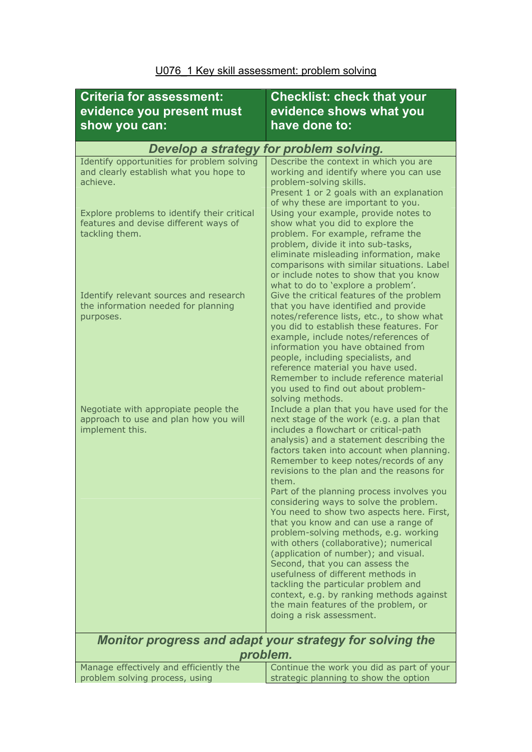| <b>Criteria for assessment:</b><br>evidence you present must<br>show you can:                          | <b>Checklist: check that your</b><br>evidence shows what you<br>have done to:                                                                                                                                                                                                                                                                                                                                                                                                                                                                |
|--------------------------------------------------------------------------------------------------------|----------------------------------------------------------------------------------------------------------------------------------------------------------------------------------------------------------------------------------------------------------------------------------------------------------------------------------------------------------------------------------------------------------------------------------------------------------------------------------------------------------------------------------------------|
| Develop a strategy for problem solving.                                                                |                                                                                                                                                                                                                                                                                                                                                                                                                                                                                                                                              |
| Identify opportunities for problem solving<br>and clearly establish what you hope to<br>achieve.       | Describe the context in which you are<br>working and identify where you can use<br>problem-solving skills.<br>Present 1 or 2 goals with an explanation<br>of why these are important to you.                                                                                                                                                                                                                                                                                                                                                 |
| Explore problems to identify their critical<br>features and devise different ways of<br>tackling them. | Using your example, provide notes to<br>show what you did to explore the<br>problem. For example, reframe the<br>problem, divide it into sub-tasks,<br>eliminate misleading information, make<br>comparisons with similar situations. Label<br>or include notes to show that you know<br>what to do to 'explore a problem'.                                                                                                                                                                                                                  |
| Identify relevant sources and research<br>the information needed for planning<br>purposes.             | Give the critical features of the problem<br>that you have identified and provide<br>notes/reference lists, etc., to show what<br>you did to establish these features. For<br>example, include notes/references of<br>information you have obtained from<br>people, including specialists, and<br>reference material you have used.<br>Remember to include reference material<br>you used to find out about problem-<br>solving methods.                                                                                                     |
| Negotiate with appropiate people the<br>approach to use and plan how you will<br>implement this.       | Include a plan that you have used for the<br>next stage of the work (e.g. a plan that<br>includes a flowchart or critical-path<br>analysis) and a statement describing the<br>factors taken into account when planning.<br>Remember to keep notes/records of any<br>revisions to the plan and the reasons for                                                                                                                                                                                                                                |
|                                                                                                        | them.<br>Part of the planning process involves you<br>considering ways to solve the problem.<br>You need to show two aspects here. First,<br>that you know and can use a range of<br>problem-solving methods, e.g. working<br>with others (collaborative); numerical<br>(application of number); and visual.<br>Second, that you can assess the<br>usefulness of different methods in<br>tackling the particular problem and<br>context, e.g. by ranking methods against<br>the main features of the problem, or<br>doing a risk assessment. |
| <b>Monitor progress and adapt your strategy for solving the</b><br>problem.                            |                                                                                                                                                                                                                                                                                                                                                                                                                                                                                                                                              |
| Manage effectively and efficiently the                                                                 | Continue the work you did as part of your                                                                                                                                                                                                                                                                                                                                                                                                                                                                                                    |
| problem solving process, using                                                                         | strategic planning to show the option                                                                                                                                                                                                                                                                                                                                                                                                                                                                                                        |

## U076\_1 Key skill assessment: problem solving